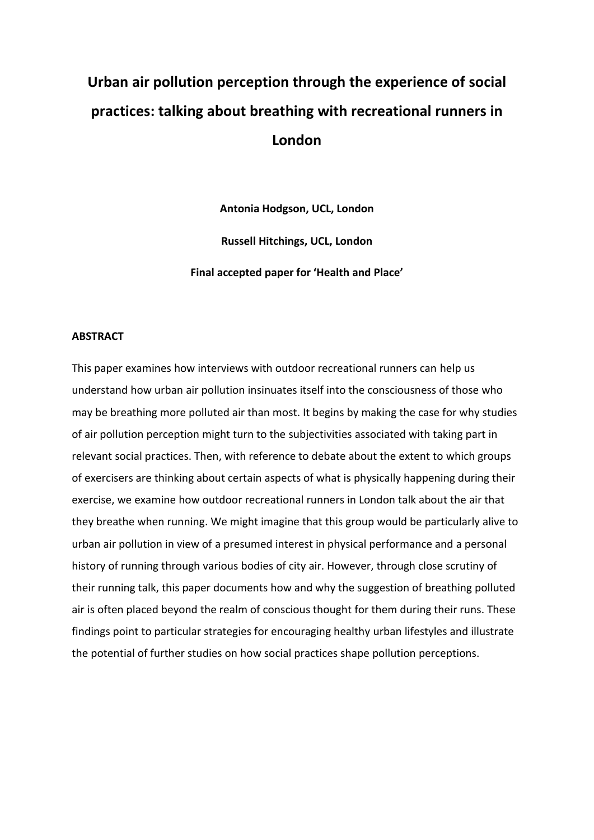# **Urban air pollution perception through the experience of social practices: talking about breathing with recreational runners in London**

**Antonia Hodgson, UCL, London Russell Hitchings, UCL, London Final accepted paper for 'Health and Place'**

# **ABSTRACT**

This paper examines how interviews with outdoor recreational runners can help us understand how urban air pollution insinuates itself into the consciousness of those who may be breathing more polluted air than most. It begins by making the case for why studies of air pollution perception might turn to the subjectivities associated with taking part in relevant social practices. Then, with reference to debate about the extent to which groups of exercisers are thinking about certain aspects of what is physically happening during their exercise, we examine how outdoor recreational runners in London talk about the air that they breathe when running. We might imagine that this group would be particularly alive to urban air pollution in view of a presumed interest in physical performance and a personal history of running through various bodies of city air. However, through close scrutiny of their running talk, this paper documents how and why the suggestion of breathing polluted air is often placed beyond the realm of conscious thought for them during their runs. These findings point to particular strategies for encouraging healthy urban lifestyles and illustrate the potential of further studies on how social practices shape pollution perceptions.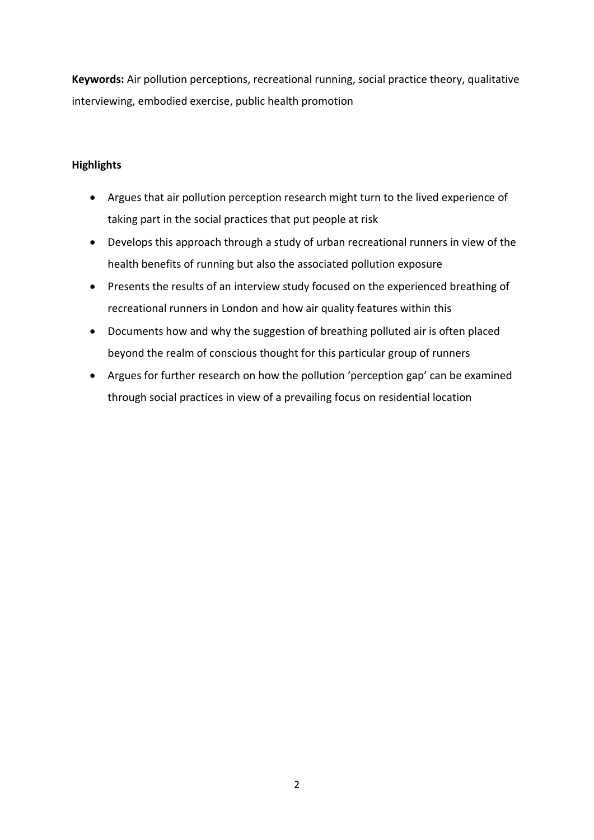**Keywords:** Air pollution perceptions, recreational running, social practice theory, qualitative interviewing, embodied exercise, public health promotion

# **Highlights**

- Argues that air pollution perception research might turn to the lived experience of taking part in the social practices that put people at risk
- Develops this approach through a study of urban recreational runners in view of the health benefits of running but also the associated pollution exposure
- Presents the results of an interview study focused on the experienced breathing of recreational runners in London and how air quality features within this
- Documents how and why the suggestion of breathing polluted air is often placed beyond the realm of conscious thought for this particular group of runners
- Argues for further research on how the pollution 'perception gap' can be examined through social practices in view of a prevailing focus on residential location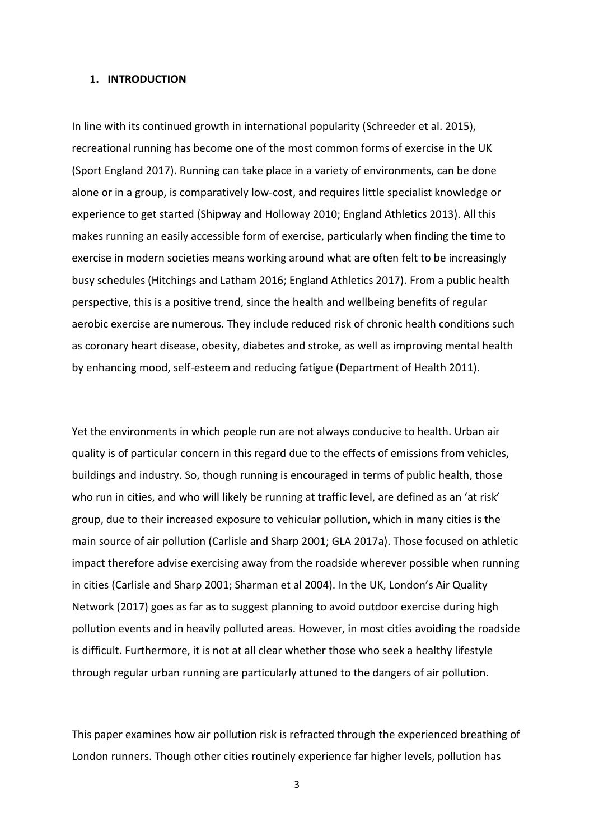# **1. INTRODUCTION**

In line with its continued growth in international popularity (Schreeder et al. 2015), recreational running has become one of the most common forms of exercise in the UK (Sport England 2017). Running can take place in a variety of environments, can be done alone or in a group, is comparatively low-cost, and requires little specialist knowledge or experience to get started (Shipway and Holloway 2010; England Athletics 2013). All this makes running an easily accessible form of exercise, particularly when finding the time to exercise in modern societies means working around what are often felt to be increasingly busy schedules (Hitchings and Latham 2016; England Athletics 2017). From a public health perspective, this is a positive trend, since the health and wellbeing benefits of regular aerobic exercise are numerous. They include reduced risk of chronic health conditions such as coronary heart disease, obesity, diabetes and stroke, as well as improving mental health by enhancing mood, self-esteem and reducing fatigue (Department of Health 2011).

Yet the environments in which people run are not always conducive to health. Urban air quality is of particular concern in this regard due to the effects of emissions from vehicles, buildings and industry. So, though running is encouraged in terms of public health, those who run in cities, and who will likely be running at traffic level, are defined as an 'at risk' group, due to their increased exposure to vehicular pollution, which in many cities is the main source of air pollution (Carlisle and Sharp 2001; GLA 2017a). Those focused on athletic impact therefore advise exercising away from the roadside wherever possible when running in cities (Carlisle and Sharp 2001; Sharman et al 2004). In the UK, London's Air Quality Network (2017) goes as far as to suggest planning to avoid outdoor exercise during high pollution events and in heavily polluted areas. However, in most cities avoiding the roadside is difficult. Furthermore, it is not at all clear whether those who seek a healthy lifestyle through regular urban running are particularly attuned to the dangers of air pollution.

This paper examines how air pollution risk is refracted through the experienced breathing of London runners. Though other cities routinely experience far higher levels, pollution has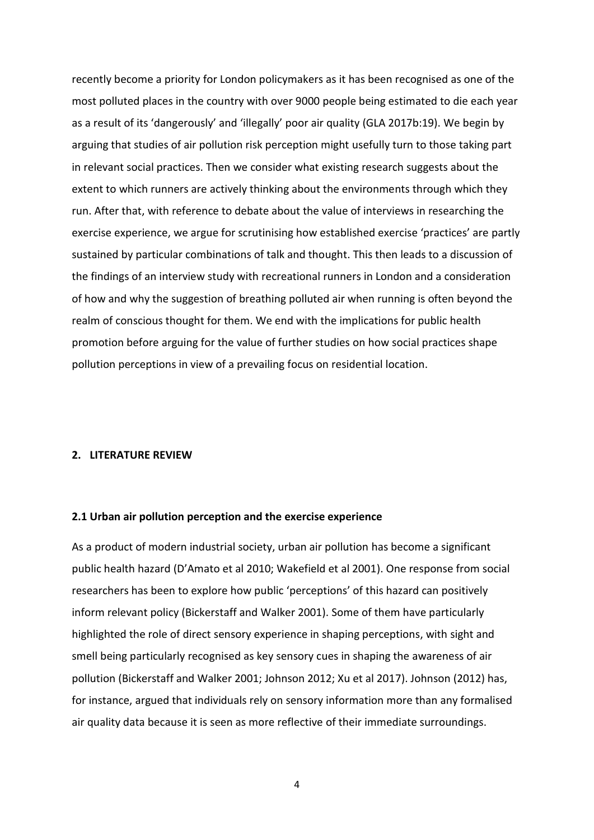recently become a priority for London policymakers as it has been recognised as one of the most polluted places in the country with over 9000 people being estimated to die each year as a result of its 'dangerously' and 'illegally' poor air quality (GLA 2017b:19). We begin by arguing that studies of air pollution risk perception might usefully turn to those taking part in relevant social practices. Then we consider what existing research suggests about the extent to which runners are actively thinking about the environments through which they run. After that, with reference to debate about the value of interviews in researching the exercise experience, we argue for scrutinising how established exercise 'practices' are partly sustained by particular combinations of talk and thought. This then leads to a discussion of the findings of an interview study with recreational runners in London and a consideration of how and why the suggestion of breathing polluted air when running is often beyond the realm of conscious thought for them. We end with the implications for public health promotion before arguing for the value of further studies on how social practices shape pollution perceptions in view of a prevailing focus on residential location.

## **2. LITERATURE REVIEW**

#### **2.1 Urban air pollution perception and the exercise experience**

As a product of modern industrial society, urban air pollution has become a significant public health hazard (D'Amato et al 2010; Wakefield et al 2001). One response from social researchers has been to explore how public 'perceptions' of this hazard can positively inform relevant policy (Bickerstaff and Walker 2001). Some of them have particularly highlighted the role of direct sensory experience in shaping perceptions, with sight and smell being particularly recognised as key sensory cues in shaping the awareness of air pollution (Bickerstaff and Walker 2001; Johnson 2012; Xu et al 2017). Johnson (2012) has, for instance, argued that individuals rely on sensory information more than any formalised air quality data because it is seen as more reflective of their immediate surroundings.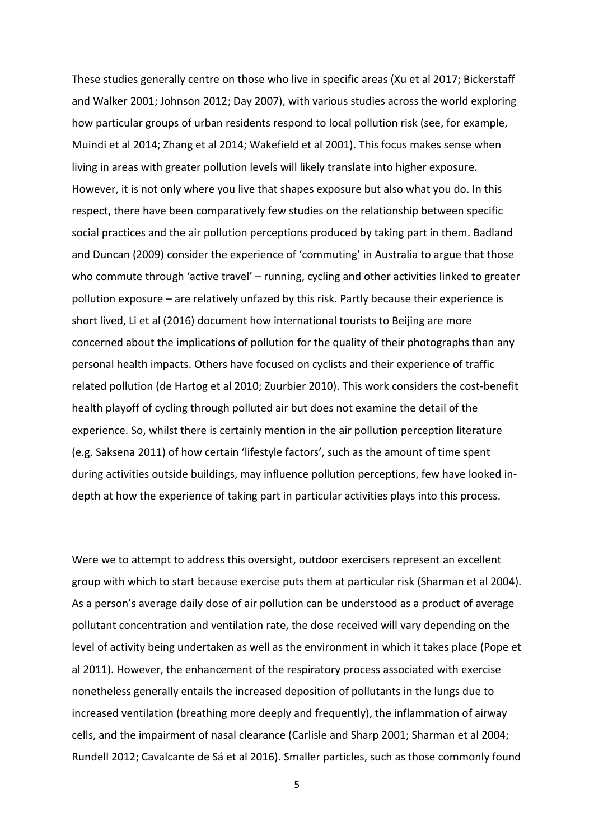These studies generally centre on those who live in specific areas (Xu et al 2017; Bickerstaff and Walker 2001; Johnson 2012; Day 2007), with various studies across the world exploring how particular groups of urban residents respond to local pollution risk (see, for example, Muindi et al 2014; Zhang et al 2014; Wakefield et al 2001). This focus makes sense when living in areas with greater pollution levels will likely translate into higher exposure. However, it is not only where you live that shapes exposure but also what you do. In this respect, there have been comparatively few studies on the relationship between specific social practices and the air pollution perceptions produced by taking part in them. Badland and Duncan (2009) consider the experience of 'commuting' in Australia to argue that those who commute through 'active travel' – running, cycling and other activities linked to greater pollution exposure – are relatively unfazed by this risk. Partly because their experience is short lived, Li et al (2016) document how international tourists to Beijing are more concerned about the implications of pollution for the quality of their photographs than any personal health impacts. Others have focused on cyclists and their experience of traffic related pollution (de Hartog et al 2010; Zuurbier 2010). This work considers the cost-benefit health playoff of cycling through polluted air but does not examine the detail of the experience. So, whilst there is certainly mention in the air pollution perception literature (e.g. Saksena 2011) of how certain 'lifestyle factors', such as the amount of time spent during activities outside buildings, may influence pollution perceptions, few have looked indepth at how the experience of taking part in particular activities plays into this process.

Were we to attempt to address this oversight, outdoor exercisers represent an excellent group with which to start because exercise puts them at particular risk (Sharman et al 2004). As a person's average daily dose of air pollution can be understood as a product of average pollutant concentration and ventilation rate, the dose received will vary depending on the level of activity being undertaken as well as the environment in which it takes place (Pope et al 2011). However, the enhancement of the respiratory process associated with exercise nonetheless generally entails the increased deposition of pollutants in the lungs due to increased ventilation (breathing more deeply and frequently), the inflammation of airway cells, and the impairment of nasal clearance (Carlisle and Sharp 2001; Sharman et al 2004; Rundell 2012; Cavalcante de Sá et al 2016). Smaller particles, such as those commonly found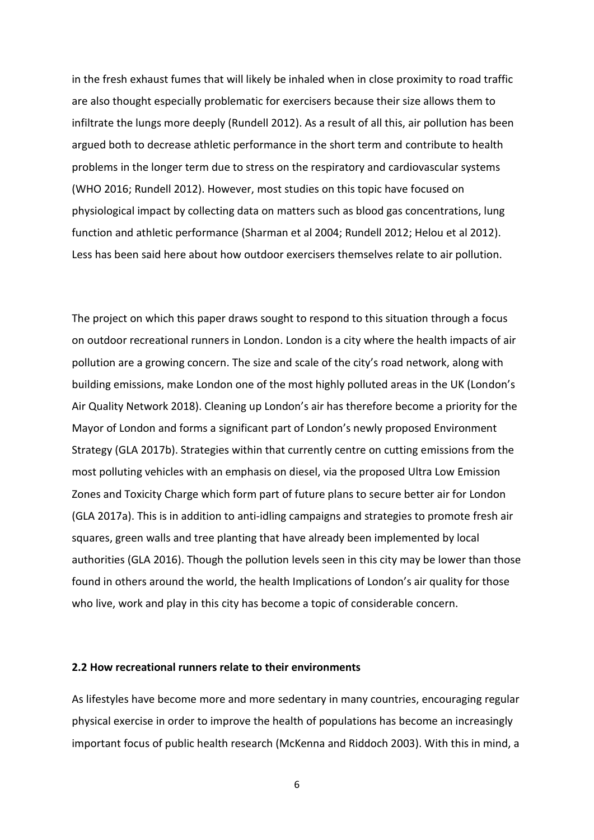in the fresh exhaust fumes that will likely be inhaled when in close proximity to road traffic are also thought especially problematic for exercisers because their size allows them to infiltrate the lungs more deeply (Rundell 2012). As a result of all this, air pollution has been argued both to decrease athletic performance in the short term and contribute to health problems in the longer term due to stress on the respiratory and cardiovascular systems (WHO 2016; Rundell 2012). However, most studies on this topic have focused on physiological impact by collecting data on matters such as blood gas concentrations, lung function and athletic performance (Sharman et al 2004; Rundell 2012; Helou et al 2012). Less has been said here about how outdoor exercisers themselves relate to air pollution.

The project on which this paper draws sought to respond to this situation through a focus on outdoor recreational runners in London. London is a city where the health impacts of air pollution are a growing concern. The size and scale of the city's road network, along with building emissions, make London one of the most highly polluted areas in the UK (London's Air Quality Network 2018). Cleaning up London's air has therefore become a priority for the Mayor of London and forms a significant part of London's newly proposed Environment Strategy (GLA 2017b). Strategies within that currently centre on cutting emissions from the most polluting vehicles with an emphasis on diesel, via the proposed Ultra Low Emission Zones and Toxicity Charge which form part of future plans to secure better air for London (GLA 2017a). This is in addition to anti-idling campaigns and strategies to promote fresh air squares, green walls and tree planting that have already been implemented by local authorities (GLA 2016). Though the pollution levels seen in this city may be lower than those found in others around the world, the health Implications of London's air quality for those who live, work and play in this city has become a topic of considerable concern.

# **2.2 How recreational runners relate to their environments**

As lifestyles have become more and more sedentary in many countries, encouraging regular physical exercise in order to improve the health of populations has become an increasingly important focus of public health research (McKenna and Riddoch 2003). With this in mind, a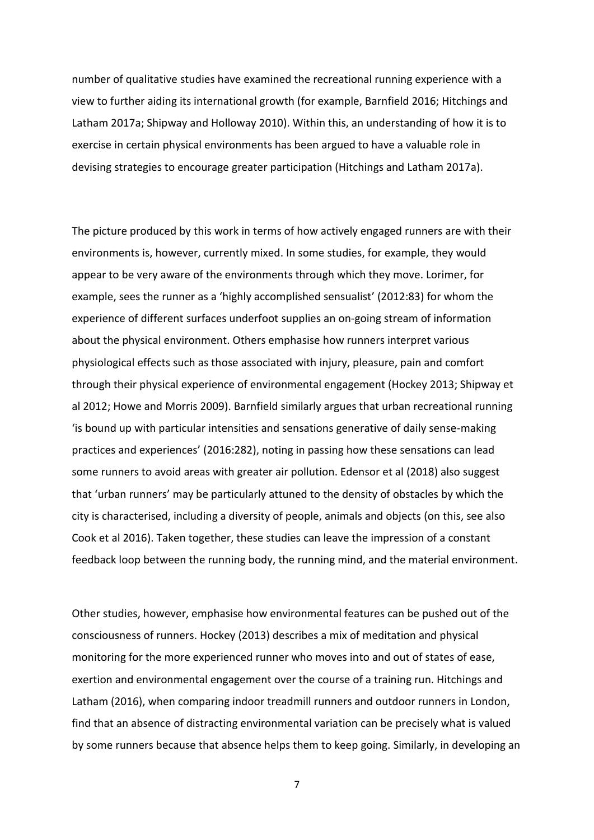number of qualitative studies have examined the recreational running experience with a view to further aiding its international growth (for example, Barnfield 2016; Hitchings and Latham 2017a; Shipway and Holloway 2010). Within this, an understanding of how it is to exercise in certain physical environments has been argued to have a valuable role in devising strategies to encourage greater participation (Hitchings and Latham 2017a).

The picture produced by this work in terms of how actively engaged runners are with their environments is, however, currently mixed. In some studies, for example, they would appear to be very aware of the environments through which they move. Lorimer, for example, sees the runner as a 'highly accomplished sensualist' (2012:83) for whom the experience of different surfaces underfoot supplies an on-going stream of information about the physical environment. Others emphasise how runners interpret various physiological effects such as those associated with injury, pleasure, pain and comfort through their physical experience of environmental engagement (Hockey 2013; Shipway et al 2012; Howe and Morris 2009). Barnfield similarly argues that urban recreational running 'is bound up with particular intensities and sensations generative of daily sense-making practices and experiences' (2016:282), noting in passing how these sensations can lead some runners to avoid areas with greater air pollution. Edensor et al (2018) also suggest that 'urban runners' may be particularly attuned to the density of obstacles by which the city is characterised, including a diversity of people, animals and objects (on this, see also Cook et al 2016). Taken together, these studies can leave the impression of a constant feedback loop between the running body, the running mind, and the material environment.

Other studies, however, emphasise how environmental features can be pushed out of the consciousness of runners. Hockey (2013) describes a mix of meditation and physical monitoring for the more experienced runner who moves into and out of states of ease, exertion and environmental engagement over the course of a training run. Hitchings and Latham (2016), when comparing indoor treadmill runners and outdoor runners in London, find that an absence of distracting environmental variation can be precisely what is valued by some runners because that absence helps them to keep going. Similarly, in developing an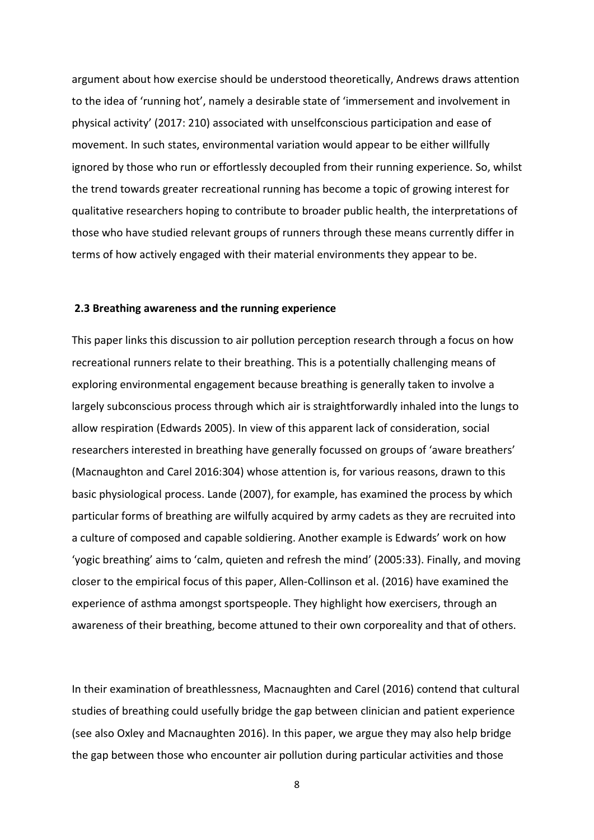argument about how exercise should be understood theoretically, Andrews draws attention to the idea of 'running hot', namely a desirable state of 'immersement and involvement in physical activity' (2017: 210) associated with unselfconscious participation and ease of movement. In such states, environmental variation would appear to be either willfully ignored by those who run or effortlessly decoupled from their running experience. So, whilst the trend towards greater recreational running has become a topic of growing interest for qualitative researchers hoping to contribute to broader public health, the interpretations of those who have studied relevant groups of runners through these means currently differ in terms of how actively engaged with their material environments they appear to be.

#### **2.3 Breathing awareness and the running experience**

This paper links this discussion to air pollution perception research through a focus on how recreational runners relate to their breathing. This is a potentially challenging means of exploring environmental engagement because breathing is generally taken to involve a largely subconscious process through which air is straightforwardly inhaled into the lungs to allow respiration (Edwards 2005). In view of this apparent lack of consideration, social researchers interested in breathing have generally focussed on groups of 'aware breathers' (Macnaughton and Carel 2016:304) whose attention is, for various reasons, drawn to this basic physiological process. Lande (2007), for example, has examined the process by which particular forms of breathing are wilfully acquired by army cadets as they are recruited into a culture of composed and capable soldiering. Another example is Edwards' work on how 'yogic breathing' aims to 'calm, quieten and refresh the mind' (2005:33). Finally, and moving closer to the empirical focus of this paper, Allen-Collinson et al. (2016) have examined the experience of asthma amongst sportspeople. They highlight how exercisers, through an awareness of their breathing, become attuned to their own corporeality and that of others.

In their examination of breathlessness, Macnaughten and Carel (2016) contend that cultural studies of breathing could usefully bridge the gap between clinician and patient experience (see also Oxley and Macnaughten 2016). In this paper, we argue they may also help bridge the gap between those who encounter air pollution during particular activities and those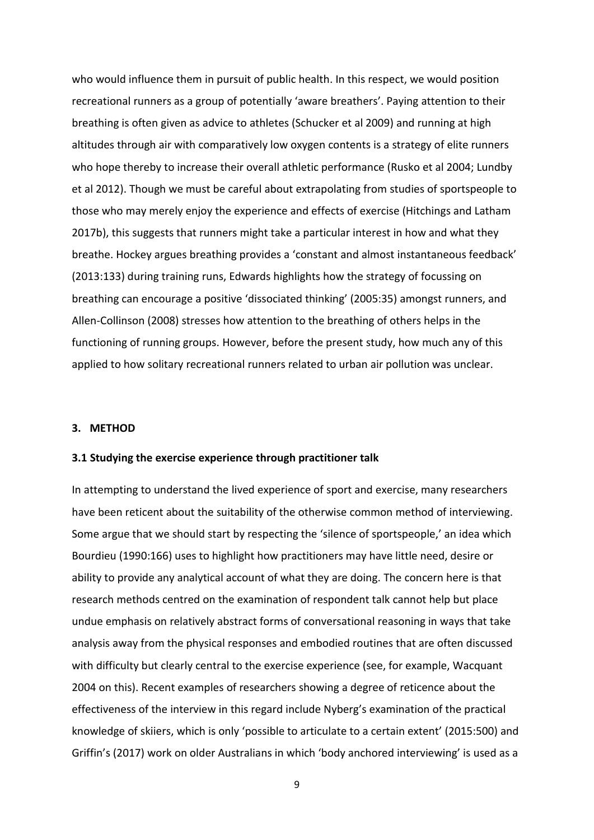who would influence them in pursuit of public health. In this respect, we would position recreational runners as a group of potentially 'aware breathers'. Paying attention to their breathing is often given as advice to athletes (Schucker et al 2009) and running at high altitudes through air with comparatively low oxygen contents is a strategy of elite runners who hope thereby to increase their overall athletic performance (Rusko et al 2004; Lundby et al 2012). Though we must be careful about extrapolating from studies of sportspeople to those who may merely enjoy the experience and effects of exercise (Hitchings and Latham 2017b), this suggests that runners might take a particular interest in how and what they breathe. Hockey argues breathing provides a 'constant and almost instantaneous feedback' (2013:133) during training runs, Edwards highlights how the strategy of focussing on breathing can encourage a positive 'dissociated thinking' (2005:35) amongst runners, and Allen-Collinson (2008) stresses how attention to the breathing of others helps in the functioning of running groups. However, before the present study, how much any of this applied to how solitary recreational runners related to urban air pollution was unclear.

## **3. METHOD**

#### **3.1 Studying the exercise experience through practitioner talk**

In attempting to understand the lived experience of sport and exercise, many researchers have been reticent about the suitability of the otherwise common method of interviewing. Some argue that we should start by respecting the 'silence of sportspeople,' an idea which Bourdieu (1990:166) uses to highlight how practitioners may have little need, desire or ability to provide any analytical account of what they are doing. The concern here is that research methods centred on the examination of respondent talk cannot help but place undue emphasis on relatively abstract forms of conversational reasoning in ways that take analysis away from the physical responses and embodied routines that are often discussed with difficulty but clearly central to the exercise experience (see, for example, Wacquant 2004 on this). Recent examples of researchers showing a degree of reticence about the effectiveness of the interview in this regard include Nyberg's examination of the practical knowledge of skiiers, which is only 'possible to articulate to a certain extent' (2015:500) and Griffin's (2017) work on older Australians in which 'body anchored interviewing' is used as a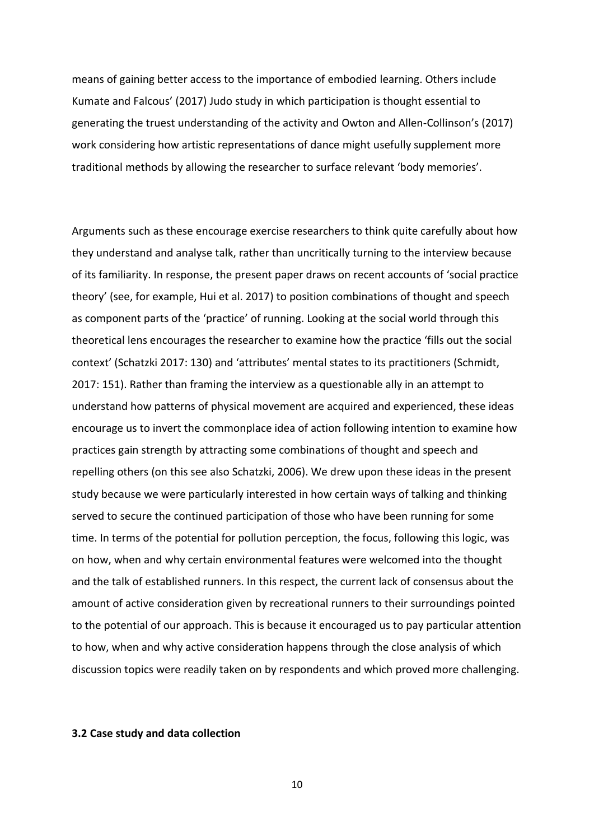means of gaining better access to the importance of embodied learning. Others include Kumate and Falcous' (2017) Judo study in which participation is thought essential to generating the truest understanding of the activity and Owton and Allen-Collinson's (2017) work considering how artistic representations of dance might usefully supplement more traditional methods by allowing the researcher to surface relevant 'body memories'.

Arguments such as these encourage exercise researchers to think quite carefully about how they understand and analyse talk, rather than uncritically turning to the interview because of its familiarity. In response, the present paper draws on recent accounts of 'social practice theory' (see, for example, Hui et al. 2017) to position combinations of thought and speech as component parts of the 'practice' of running. Looking at the social world through this theoretical lens encourages the researcher to examine how the practice 'fills out the social context' (Schatzki 2017: 130) and 'attributes' mental states to its practitioners (Schmidt, 2017: 151). Rather than framing the interview as a questionable ally in an attempt to understand how patterns of physical movement are acquired and experienced, these ideas encourage us to invert the commonplace idea of action following intention to examine how practices gain strength by attracting some combinations of thought and speech and repelling others (on this see also Schatzki, 2006). We drew upon these ideas in the present study because we were particularly interested in how certain ways of talking and thinking served to secure the continued participation of those who have been running for some time. In terms of the potential for pollution perception, the focus, following this logic, was on how, when and why certain environmental features were welcomed into the thought and the talk of established runners. In this respect, the current lack of consensus about the amount of active consideration given by recreational runners to their surroundings pointed to the potential of our approach. This is because it encouraged us to pay particular attention to how, when and why active consideration happens through the close analysis of which discussion topics were readily taken on by respondents and which proved more challenging.

## **3.2 Case study and data collection**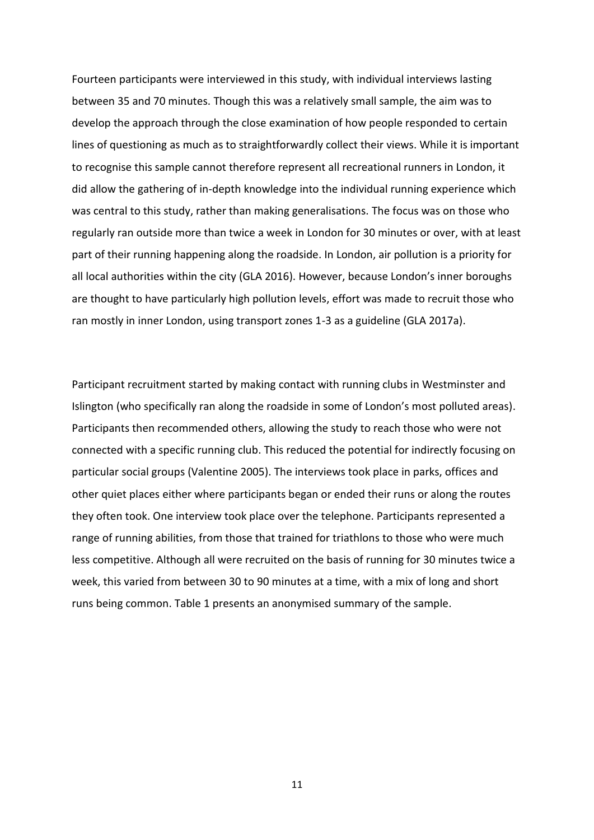Fourteen participants were interviewed in this study, with individual interviews lasting between 35 and 70 minutes. Though this was a relatively small sample, the aim was to develop the approach through the close examination of how people responded to certain lines of questioning as much as to straightforwardly collect their views. While it is important to recognise this sample cannot therefore represent all recreational runners in London, it did allow the gathering of in-depth knowledge into the individual running experience which was central to this study, rather than making generalisations. The focus was on those who regularly ran outside more than twice a week in London for 30 minutes or over, with at least part of their running happening along the roadside. In London, air pollution is a priority for all local authorities within the city (GLA 2016). However, because London's inner boroughs are thought to have particularly high pollution levels, effort was made to recruit those who ran mostly in inner London, using transport zones 1-3 as a guideline (GLA 2017a).

Participant recruitment started by making contact with running clubs in Westminster and Islington (who specifically ran along the roadside in some of London's most polluted areas). Participants then recommended others, allowing the study to reach those who were not connected with a specific running club. This reduced the potential for indirectly focusing on particular social groups (Valentine 2005). The interviews took place in parks, offices and other quiet places either where participants began or ended their runs or along the routes they often took. One interview took place over the telephone. Participants represented a range of running abilities, from those that trained for triathlons to those who were much less competitive. Although all were recruited on the basis of running for 30 minutes twice a week, this varied from between 30 to 90 minutes at a time, with a mix of long and short runs being common. Table 1 presents an anonymised summary of the sample.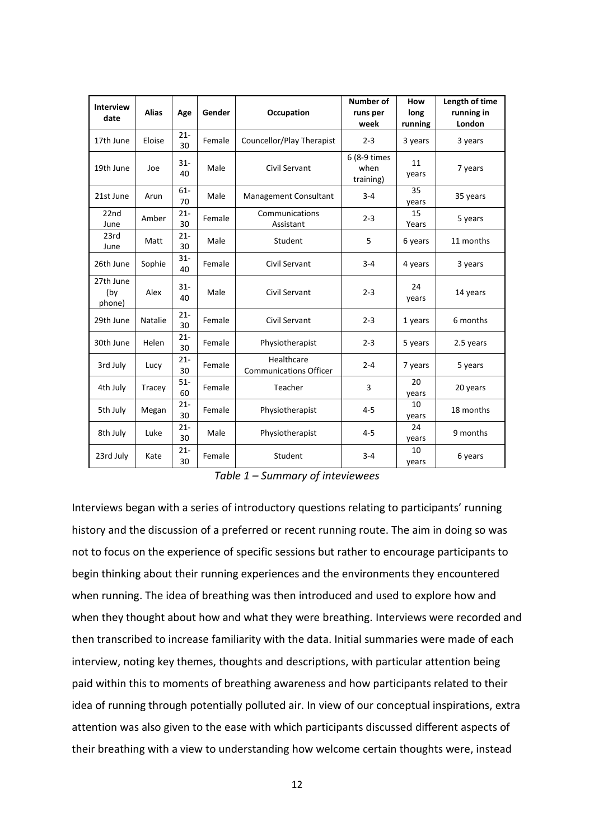| <b>Interview</b><br>date   | <b>Alias</b>   | Age          | Gender | <b>Occupation</b>                           | Number of<br>runs per<br>week     | How<br>long<br>running | Length of time<br>running in<br>London |
|----------------------------|----------------|--------------|--------|---------------------------------------------|-----------------------------------|------------------------|----------------------------------------|
| 17th June                  | Eloise         | $21 -$<br>30 | Female | Councellor/Play Therapist                   | $2 - 3$                           | 3 years                | 3 years                                |
| 19th June                  | Joe            | $31 -$<br>40 | Male   | Civil Servant                               | 6 (8-9 times<br>when<br>training) | 11<br>years            | 7 years                                |
| 21st June                  | Arun           | $61 -$<br>70 | Male   | <b>Management Consultant</b>                | $3 - 4$                           | 35<br>years            | 35 years                               |
| 22nd<br>June               | Amber          | $21 -$<br>30 | Female | Communications<br>Assistant                 | $2 - 3$                           | 15<br>Years            | 5 years                                |
| 23rd<br>June               | Matt           | $21 -$<br>30 | Male   | Student                                     | 5                                 | 6 years                | 11 months                              |
| 26th June                  | Sophie         | $31 -$<br>40 | Female | Civil Servant                               | $3 - 4$                           | 4 years                | 3 years                                |
| 27th June<br>(by<br>phone) | Alex           | $31 -$<br>40 | Male   | Civil Servant                               | $2 - 3$                           | 24<br>years            | 14 years                               |
| 29th June                  | <b>Natalie</b> | $21 -$<br>30 | Female | Civil Servant                               | $2 - 3$                           | 1 years                | 6 months                               |
| 30th June                  | Helen          | $21 -$<br>30 | Female | Physiotherapist                             | $2 - 3$                           | 5 years                | 2.5 years                              |
| 3rd July                   | Lucy           | $21 -$<br>30 | Female | Healthcare<br><b>Communications Officer</b> | $2 - 4$                           | 7 years                | 5 years                                |
| 4th July                   | Tracey         | $51-$<br>60  | Female | Teacher                                     | 3                                 | 20<br>years            | 20 years                               |
| 5th July                   | Megan          | $21 -$<br>30 | Female | Physiotherapist                             | $4 - 5$                           | 10<br>years            | 18 months                              |
| 8th July                   | Luke           | $21 -$<br>30 | Male   | Physiotherapist                             | $4 - 5$                           | 24<br>years            | 9 months                               |
| 23rd July                  | Kate           | $21 -$<br>30 | Female | Student                                     | $3 - 4$                           | 10<br>years            | 6 years                                |

*Table 1 – Summary of inteviewees*

Interviews began with a series of introductory questions relating to participants' running history and the discussion of a preferred or recent running route. The aim in doing so was not to focus on the experience of specific sessions but rather to encourage participants to begin thinking about their running experiences and the environments they encountered when running. The idea of breathing was then introduced and used to explore how and when they thought about how and what they were breathing. Interviews were recorded and then transcribed to increase familiarity with the data. Initial summaries were made of each interview, noting key themes, thoughts and descriptions, with particular attention being paid within this to moments of breathing awareness and how participants related to their idea of running through potentially polluted air. In view of our conceptual inspirations, extra attention was also given to the ease with which participants discussed different aspects of their breathing with a view to understanding how welcome certain thoughts were, instead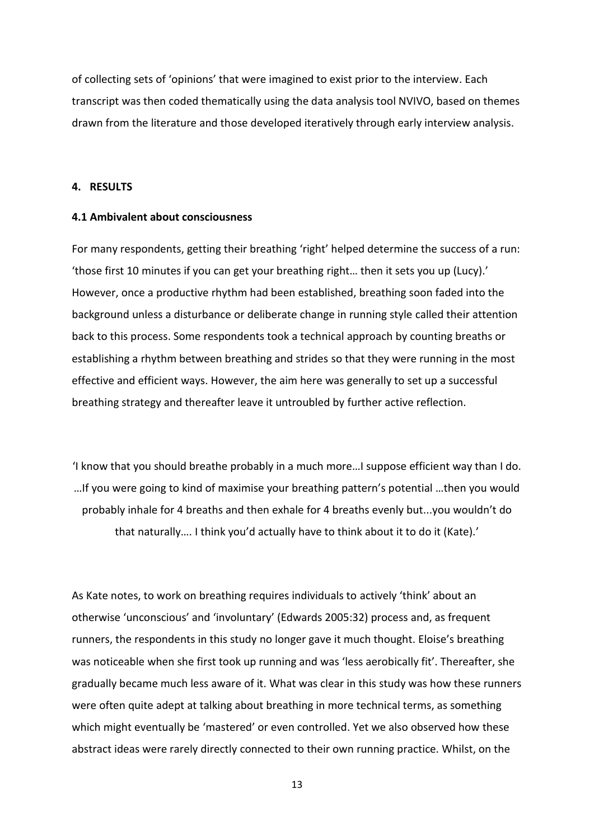of collecting sets of 'opinions' that were imagined to exist prior to the interview. Each transcript was then coded thematically using the data analysis tool NVIVO, based on themes drawn from the literature and those developed iteratively through early interview analysis.

# **4. RESULTS**

## **4.1 Ambivalent about consciousness**

For many respondents, getting their breathing 'right' helped determine the success of a run: 'those first 10 minutes if you can get your breathing right… then it sets you up (Lucy).' However, once a productive rhythm had been established, breathing soon faded into the background unless a disturbance or deliberate change in running style called their attention back to this process. Some respondents took a technical approach by counting breaths or establishing a rhythm between breathing and strides so that they were running in the most effective and efficient ways. However, the aim here was generally to set up a successful breathing strategy and thereafter leave it untroubled by further active reflection.

'I know that you should breathe probably in a much more…I suppose efficient way than I do. …If you were going to kind of maximise your breathing pattern's potential …then you would probably inhale for 4 breaths and then exhale for 4 breaths evenly but...you wouldn't do that naturally…. I think you'd actually have to think about it to do it (Kate).'

As Kate notes, to work on breathing requires individuals to actively 'think' about an otherwise 'unconscious' and 'involuntary' (Edwards 2005:32) process and, as frequent runners, the respondents in this study no longer gave it much thought. Eloise's breathing was noticeable when she first took up running and was 'less aerobically fit'. Thereafter, she gradually became much less aware of it. What was clear in this study was how these runners were often quite adept at talking about breathing in more technical terms, as something which might eventually be 'mastered' or even controlled. Yet we also observed how these abstract ideas were rarely directly connected to their own running practice. Whilst, on the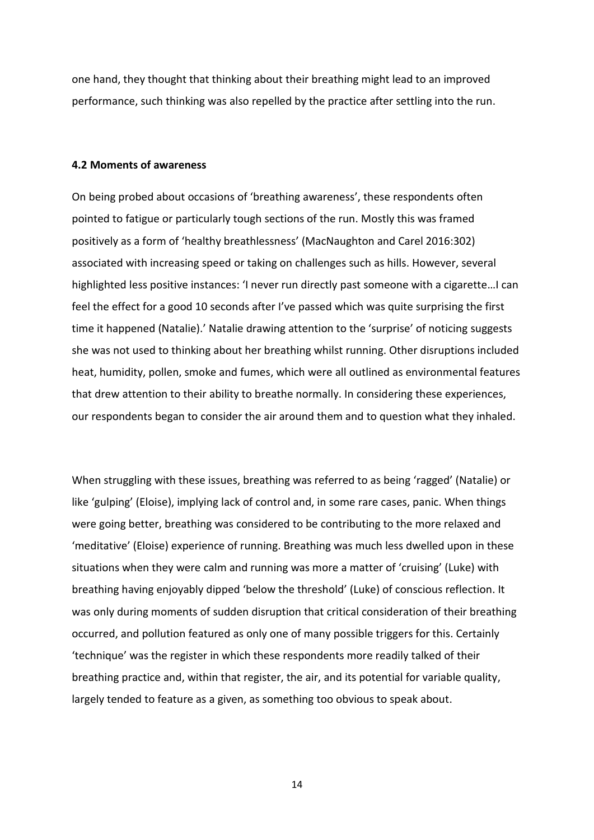one hand, they thought that thinking about their breathing might lead to an improved performance, such thinking was also repelled by the practice after settling into the run.

#### **4.2 Moments of awareness**

On being probed about occasions of 'breathing awareness', these respondents often pointed to fatigue or particularly tough sections of the run. Mostly this was framed positively as a form of 'healthy breathlessness' (MacNaughton and Carel 2016:302) associated with increasing speed or taking on challenges such as hills. However, several highlighted less positive instances: 'I never run directly past someone with a cigarette…I can feel the effect for a good 10 seconds after I've passed which was quite surprising the first time it happened (Natalie).' Natalie drawing attention to the 'surprise' of noticing suggests she was not used to thinking about her breathing whilst running. Other disruptions included heat, humidity, pollen, smoke and fumes, which were all outlined as environmental features that drew attention to their ability to breathe normally. In considering these experiences, our respondents began to consider the air around them and to question what they inhaled.

When struggling with these issues, breathing was referred to as being 'ragged' (Natalie) or like 'gulping' (Eloise), implying lack of control and, in some rare cases, panic. When things were going better, breathing was considered to be contributing to the more relaxed and 'meditative' (Eloise) experience of running. Breathing was much less dwelled upon in these situations when they were calm and running was more a matter of 'cruising' (Luke) with breathing having enjoyably dipped 'below the threshold' (Luke) of conscious reflection. It was only during moments of sudden disruption that critical consideration of their breathing occurred, and pollution featured as only one of many possible triggers for this. Certainly 'technique' was the register in which these respondents more readily talked of their breathing practice and, within that register, the air, and its potential for variable quality, largely tended to feature as a given, as something too obvious to speak about.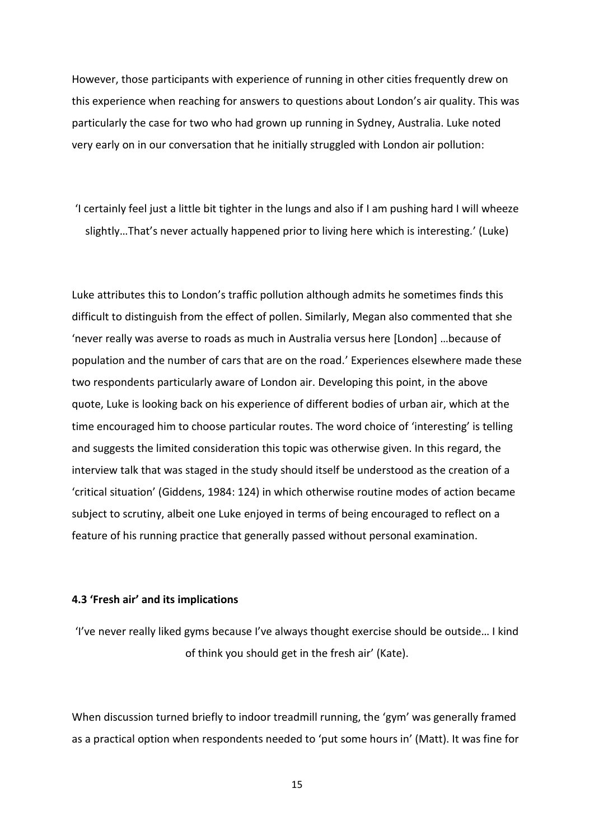However, those participants with experience of running in other cities frequently drew on this experience when reaching for answers to questions about London's air quality. This was particularly the case for two who had grown up running in Sydney, Australia. Luke noted very early on in our conversation that he initially struggled with London air pollution:

'I certainly feel just a little bit tighter in the lungs and also if I am pushing hard I will wheeze slightly…That's never actually happened prior to living here which is interesting.' (Luke)

Luke attributes this to London's traffic pollution although admits he sometimes finds this difficult to distinguish from the effect of pollen. Similarly, Megan also commented that she 'never really was averse to roads as much in Australia versus here [London] …because of population and the number of cars that are on the road.' Experiences elsewhere made these two respondents particularly aware of London air. Developing this point, in the above quote, Luke is looking back on his experience of different bodies of urban air, which at the time encouraged him to choose particular routes. The word choice of 'interesting' is telling and suggests the limited consideration this topic was otherwise given. In this regard, the interview talk that was staged in the study should itself be understood as the creation of a 'critical situation' (Giddens, 1984: 124) in which otherwise routine modes of action became subject to scrutiny, albeit one Luke enjoyed in terms of being encouraged to reflect on a feature of his running practice that generally passed without personal examination.

# **4.3 'Fresh air' and its implications**

'I've never really liked gyms because I've always thought exercise should be outside… I kind of think you should get in the fresh air' (Kate).

When discussion turned briefly to indoor treadmill running, the 'gym' was generally framed as a practical option when respondents needed to 'put some hours in' (Matt). It was fine for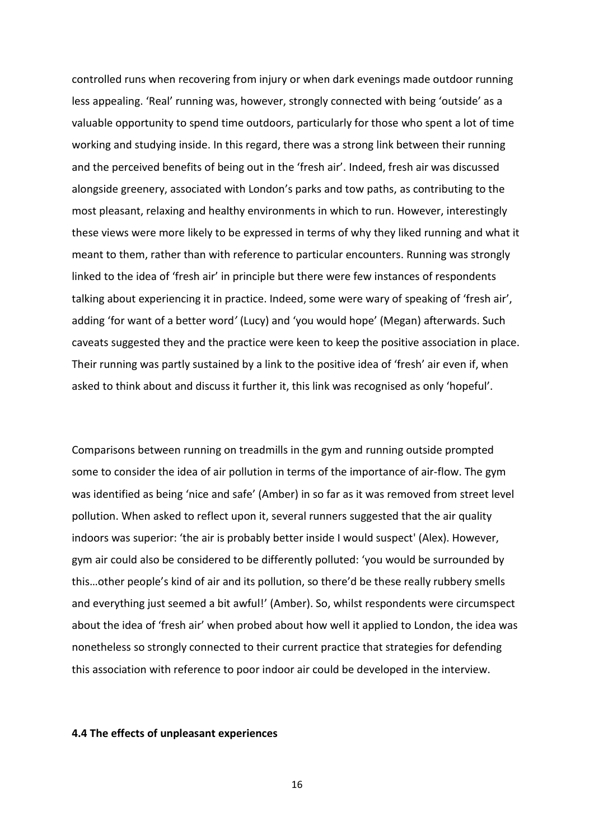controlled runs when recovering from injury or when dark evenings made outdoor running less appealing. 'Real' running was, however, strongly connected with being 'outside' as a valuable opportunity to spend time outdoors, particularly for those who spent a lot of time working and studying inside. In this regard, there was a strong link between their running and the perceived benefits of being out in the 'fresh air'. Indeed, fresh air was discussed alongside greenery, associated with London's parks and tow paths, as contributing to the most pleasant, relaxing and healthy environments in which to run. However, interestingly these views were more likely to be expressed in terms of why they liked running and what it meant to them, rather than with reference to particular encounters. Running was strongly linked to the idea of 'fresh air' in principle but there were few instances of respondents talking about experiencing it in practice. Indeed, some were wary of speaking of 'fresh air', adding 'for want of a better word*'* (Lucy) and 'you would hope' (Megan) afterwards. Such caveats suggested they and the practice were keen to keep the positive association in place. Their running was partly sustained by a link to the positive idea of 'fresh' air even if, when asked to think about and discuss it further it, this link was recognised as only 'hopeful'.

Comparisons between running on treadmills in the gym and running outside prompted some to consider the idea of air pollution in terms of the importance of air-flow. The gym was identified as being 'nice and safe' (Amber) in so far as it was removed from street level pollution. When asked to reflect upon it, several runners suggested that the air quality indoors was superior: 'the air is probably better inside I would suspect' (Alex). However, gym air could also be considered to be differently polluted: 'you would be surrounded by this…other people's kind of air and its pollution, so there'd be these really rubbery smells and everything just seemed a bit awful!' (Amber). So, whilst respondents were circumspect about the idea of 'fresh air' when probed about how well it applied to London, the idea was nonetheless so strongly connected to their current practice that strategies for defending this association with reference to poor indoor air could be developed in the interview.

#### **4.4 The effects of unpleasant experiences**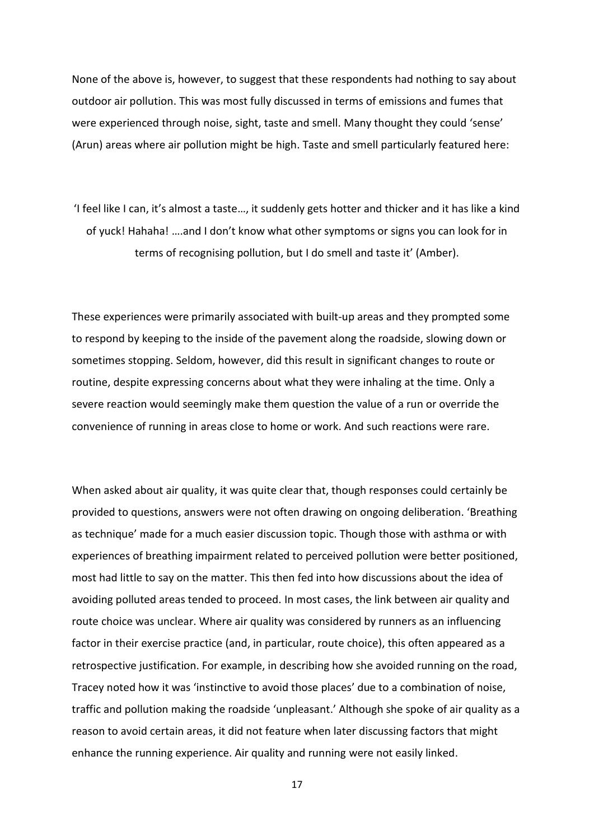None of the above is, however, to suggest that these respondents had nothing to say about outdoor air pollution. This was most fully discussed in terms of emissions and fumes that were experienced through noise, sight, taste and smell. Many thought they could 'sense' (Arun) areas where air pollution might be high. Taste and smell particularly featured here:

'I feel like I can, it's almost a taste…, it suddenly gets hotter and thicker and it has like a kind of yuck! Hahaha! ….and I don't know what other symptoms or signs you can look for in terms of recognising pollution, but I do smell and taste it' (Amber).

These experiences were primarily associated with built-up areas and they prompted some to respond by keeping to the inside of the pavement along the roadside, slowing down or sometimes stopping. Seldom, however, did this result in significant changes to route or routine, despite expressing concerns about what they were inhaling at the time. Only a severe reaction would seemingly make them question the value of a run or override the convenience of running in areas close to home or work. And such reactions were rare.

When asked about air quality, it was quite clear that, though responses could certainly be provided to questions, answers were not often drawing on ongoing deliberation. 'Breathing as technique' made for a much easier discussion topic. Though those with asthma or with experiences of breathing impairment related to perceived pollution were better positioned, most had little to say on the matter. This then fed into how discussions about the idea of avoiding polluted areas tended to proceed. In most cases, the link between air quality and route choice was unclear. Where air quality was considered by runners as an influencing factor in their exercise practice (and, in particular, route choice), this often appeared as a retrospective justification. For example, in describing how she avoided running on the road, Tracey noted how it was 'instinctive to avoid those places' due to a combination of noise, traffic and pollution making the roadside 'unpleasant.' Although she spoke of air quality as a reason to avoid certain areas, it did not feature when later discussing factors that might enhance the running experience. Air quality and running were not easily linked.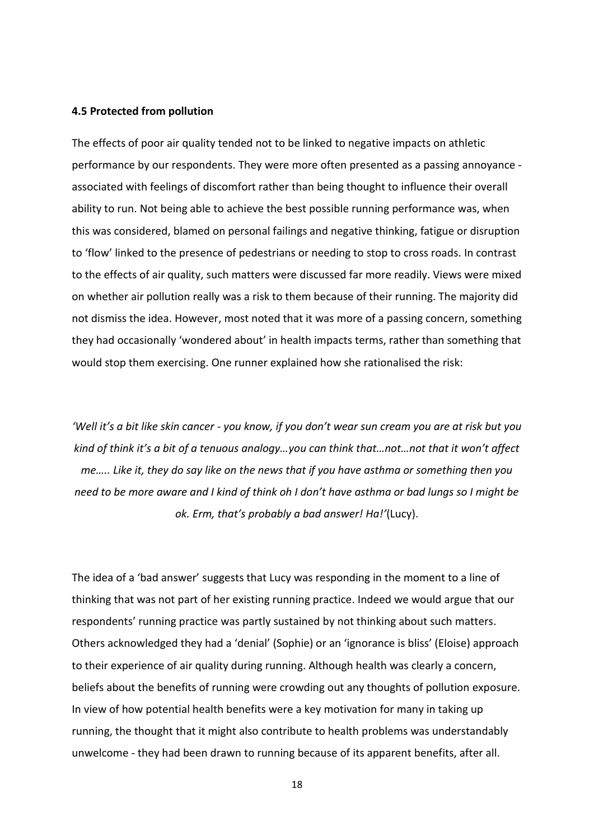#### **4.5 Protected from pollution**

The effects of poor air quality tended not to be linked to negative impacts on athletic performance by our respondents. They were more often presented as a passing annoyance associated with feelings of discomfort rather than being thought to influence their overall ability to run. Not being able to achieve the best possible running performance was, when this was considered, blamed on personal failings and negative thinking, fatigue or disruption to 'flow' linked to the presence of pedestrians or needing to stop to cross roads. In contrast to the effects of air quality, such matters were discussed far more readily. Views were mixed on whether air pollution really was a risk to them because of their running. The majority did not dismiss the idea. However, most noted that it was more of a passing concern, something they had occasionally 'wondered about' in health impacts terms, rather than something that would stop them exercising. One runner explained how she rationalised the risk:

*'Well it's a bit like skin cancer - you know, if you don't wear sun cream you are at risk but you kind of think it's a bit of a tenuous analogy…you can think that…not…not that it won't affect me….. Like it, they do say like on the news that if you have asthma or something then you need to be more aware and I kind of think oh I don't have asthma or bad lungs so I might be ok. Erm, that's probably a bad answer! Ha!'*(Lucy).

The idea of a 'bad answer' suggests that Lucy was responding in the moment to a line of thinking that was not part of her existing running practice. Indeed we would argue that our respondents' running practice was partly sustained by not thinking about such matters. Others acknowledged they had a 'denial' (Sophie) or an 'ignorance is bliss' (Eloise) approach to their experience of air quality during running. Although health was clearly a concern, beliefs about the benefits of running were crowding out any thoughts of pollution exposure. In view of how potential health benefits were a key motivation for many in taking up running, the thought that it might also contribute to health problems was understandably unwelcome - they had been drawn to running because of its apparent benefits, after all.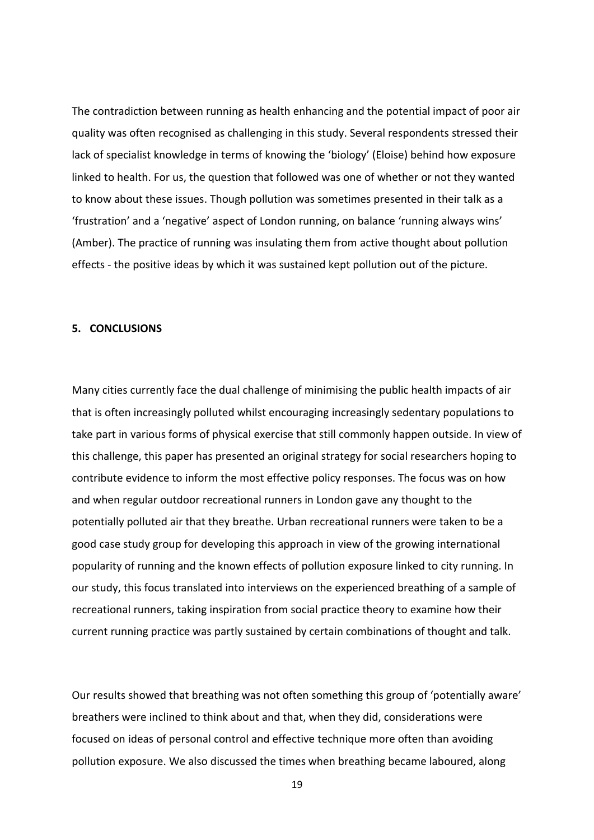The contradiction between running as health enhancing and the potential impact of poor air quality was often recognised as challenging in this study. Several respondents stressed their lack of specialist knowledge in terms of knowing the 'biology' (Eloise) behind how exposure linked to health. For us, the question that followed was one of whether or not they wanted to know about these issues. Though pollution was sometimes presented in their talk as a 'frustration' and a 'negative' aspect of London running, on balance 'running always wins' (Amber). The practice of running was insulating them from active thought about pollution effects - the positive ideas by which it was sustained kept pollution out of the picture.

## **5. CONCLUSIONS**

Many cities currently face the dual challenge of minimising the public health impacts of air that is often increasingly polluted whilst encouraging increasingly sedentary populations to take part in various forms of physical exercise that still commonly happen outside. In view of this challenge, this paper has presented an original strategy for social researchers hoping to contribute evidence to inform the most effective policy responses. The focus was on how and when regular outdoor recreational runners in London gave any thought to the potentially polluted air that they breathe. Urban recreational runners were taken to be a good case study group for developing this approach in view of the growing international popularity of running and the known effects of pollution exposure linked to city running. In our study, this focus translated into interviews on the experienced breathing of a sample of recreational runners, taking inspiration from social practice theory to examine how their current running practice was partly sustained by certain combinations of thought and talk.

Our results showed that breathing was not often something this group of 'potentially aware' breathers were inclined to think about and that, when they did, considerations were focused on ideas of personal control and effective technique more often than avoiding pollution exposure. We also discussed the times when breathing became laboured, along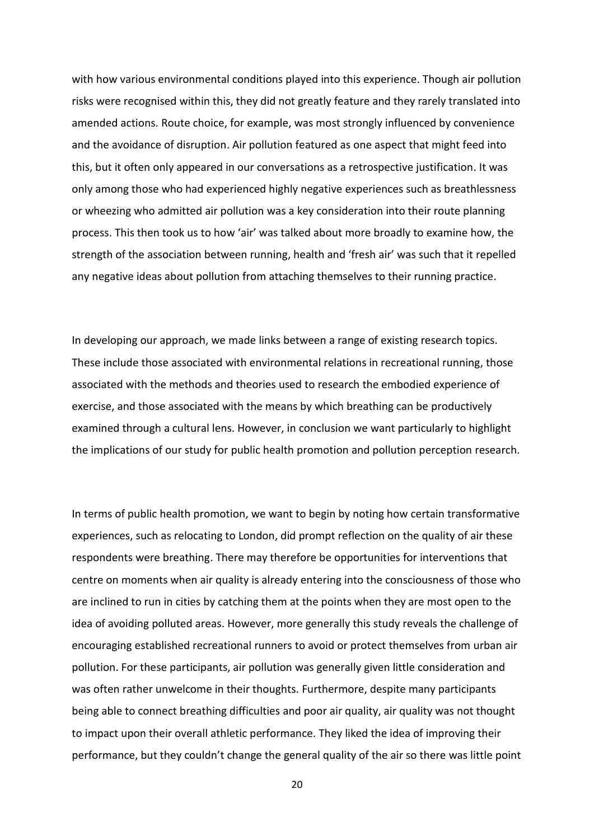with how various environmental conditions played into this experience. Though air pollution risks were recognised within this, they did not greatly feature and they rarely translated into amended actions. Route choice, for example, was most strongly influenced by convenience and the avoidance of disruption. Air pollution featured as one aspect that might feed into this, but it often only appeared in our conversations as a retrospective justification. It was only among those who had experienced highly negative experiences such as breathlessness or wheezing who admitted air pollution was a key consideration into their route planning process. This then took us to how 'air' was talked about more broadly to examine how, the strength of the association between running, health and 'fresh air' was such that it repelled any negative ideas about pollution from attaching themselves to their running practice.

In developing our approach, we made links between a range of existing research topics. These include those associated with environmental relations in recreational running, those associated with the methods and theories used to research the embodied experience of exercise, and those associated with the means by which breathing can be productively examined through a cultural lens. However, in conclusion we want particularly to highlight the implications of our study for public health promotion and pollution perception research.

In terms of public health promotion, we want to begin by noting how certain transformative experiences, such as relocating to London, did prompt reflection on the quality of air these respondents were breathing. There may therefore be opportunities for interventions that centre on moments when air quality is already entering into the consciousness of those who are inclined to run in cities by catching them at the points when they are most open to the idea of avoiding polluted areas. However, more generally this study reveals the challenge of encouraging established recreational runners to avoid or protect themselves from urban air pollution. For these participants, air pollution was generally given little consideration and was often rather unwelcome in their thoughts. Furthermore, despite many participants being able to connect breathing difficulties and poor air quality, air quality was not thought to impact upon their overall athletic performance. They liked the idea of improving their performance, but they couldn't change the general quality of the air so there was little point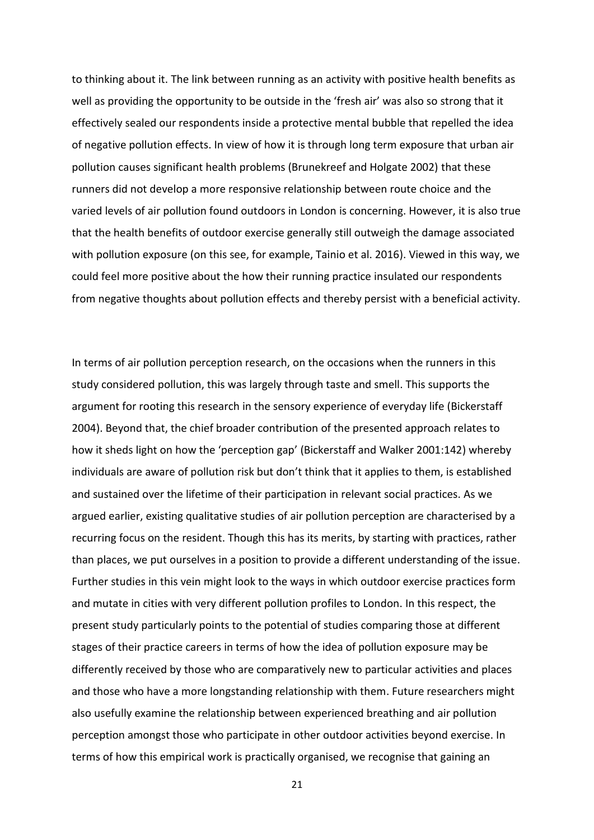to thinking about it. The link between running as an activity with positive health benefits as well as providing the opportunity to be outside in the 'fresh air' was also so strong that it effectively sealed our respondents inside a protective mental bubble that repelled the idea of negative pollution effects. In view of how it is through long term exposure that urban air pollution causes significant health problems (Brunekreef and Holgate 2002) that these runners did not develop a more responsive relationship between route choice and the varied levels of air pollution found outdoors in London is concerning. However, it is also true that the health benefits of outdoor exercise generally still outweigh the damage associated with pollution exposure (on this see, for example, Tainio et al. 2016). Viewed in this way, we could feel more positive about the how their running practice insulated our respondents from negative thoughts about pollution effects and thereby persist with a beneficial activity.

In terms of air pollution perception research, on the occasions when the runners in this study considered pollution, this was largely through taste and smell. This supports the argument for rooting this research in the sensory experience of everyday life (Bickerstaff 2004). Beyond that, the chief broader contribution of the presented approach relates to how it sheds light on how the 'perception gap' (Bickerstaff and Walker 2001:142) whereby individuals are aware of pollution risk but don't think that it applies to them, is established and sustained over the lifetime of their participation in relevant social practices. As we argued earlier, existing qualitative studies of air pollution perception are characterised by a recurring focus on the resident. Though this has its merits, by starting with practices, rather than places, we put ourselves in a position to provide a different understanding of the issue. Further studies in this vein might look to the ways in which outdoor exercise practices form and mutate in cities with very different pollution profiles to London. In this respect, the present study particularly points to the potential of studies comparing those at different stages of their practice careers in terms of how the idea of pollution exposure may be differently received by those who are comparatively new to particular activities and places and those who have a more longstanding relationship with them. Future researchers might also usefully examine the relationship between experienced breathing and air pollution perception amongst those who participate in other outdoor activities beyond exercise. In terms of how this empirical work is practically organised, we recognise that gaining an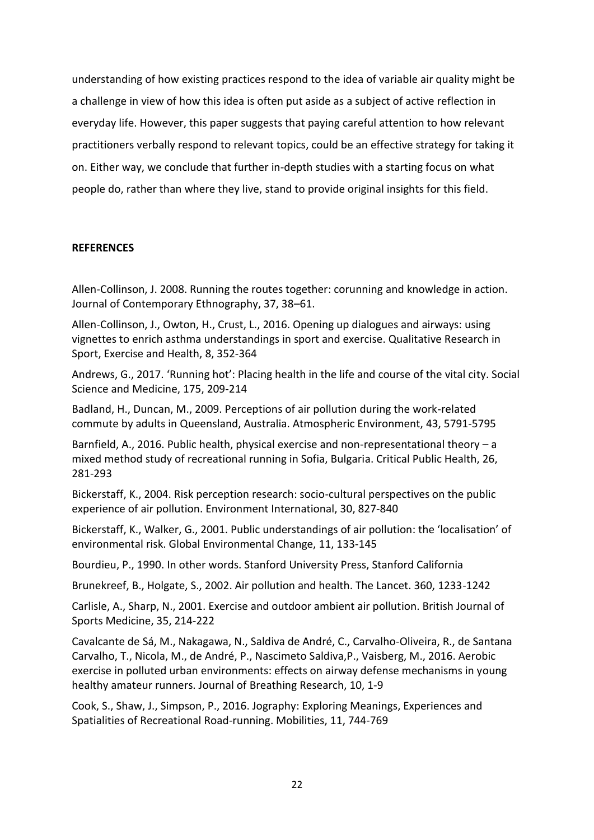understanding of how existing practices respond to the idea of variable air quality might be a challenge in view of how this idea is often put aside as a subject of active reflection in everyday life. However, this paper suggests that paying careful attention to how relevant practitioners verbally respond to relevant topics, could be an effective strategy for taking it on. Either way, we conclude that further in-depth studies with a starting focus on what people do, rather than where they live, stand to provide original insights for this field.

# **REFERENCES**

Allen-Collinson, J. 2008. Running the routes together: corunning and knowledge in action. Journal of Contemporary Ethnography, 37, 38–61.

Allen-Collinson, J., Owton, H., Crust, L., 2016. Opening up dialogues and airways: using vignettes to enrich asthma understandings in sport and exercise. Qualitative Research in Sport, Exercise and Health, 8, 352-364

Andrews, G., 2017. 'Running hot': Placing health in the life and course of the vital city. Social Science and Medicine, 175, 209-214

Badland, H., Duncan, M., 2009. Perceptions of air pollution during the work-related commute by adults in Queensland, Australia. Atmospheric Environment, 43, 5791-5795

Barnfield, A., 2016. Public health, physical exercise and non-representational theory – a mixed method study of recreational running in Sofia, Bulgaria. Critical Public Health, 26, 281-293

Bickerstaff, K., 2004. Risk perception research: socio-cultural perspectives on the public experience of air pollution. Environment International, 30, 827-840

Bickerstaff, K., Walker, G., 2001. Public understandings of air pollution: the 'localisation' of environmental risk. Global Environmental Change, 11, 133-145

Bourdieu, P., 1990. In other words. Stanford University Press, Stanford California

Brunekreef, B., Holgate, S., 2002. Air pollution and health. The Lancet. 360, 1233-1242

Carlisle, A., Sharp, N., 2001. Exercise and outdoor ambient air pollution. British Journal of Sports Medicine, 35, 214-222

Cavalcante de Sá, M., Nakagawa, N., Saldiva de André, C., Carvalho-Oliveira, R., de Santana Carvalho, T., Nicola, M., de André, P., Nascimeto Saldiva,P., Vaisberg, M., 2016. Aerobic exercise in polluted urban environments: effects on airway defense mechanisms in young healthy amateur runners. Journal of Breathing Research, 10, 1-9

Cook, S., Shaw, J., Simpson, P., 2016. Jography: Exploring Meanings, Experiences and Spatialities of Recreational Road-running. Mobilities, 11, 744-769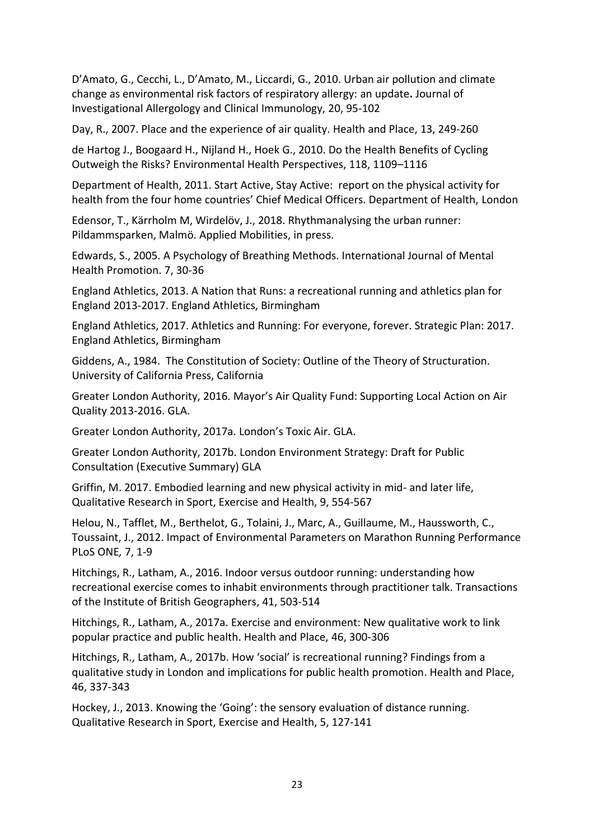D'Amato, G., Cecchi, L., D'Amato, M., Liccardi, G., 2010. Urban air pollution and climate change as environmental risk factors of respiratory allergy: an update**.** Journal of Investigational Allergology and Clinical Immunology, 20, 95-102

Day, R., 2007. Place and the experience of air quality. Health and Place, 13, 249-260

de Hartog J., Boogaard H., Nijland H., Hoek G., 2010. Do the Health Benefits of Cycling Outweigh the Risks? Environmental Health Perspectives, 118, 1109–1116

Department of Health, 2011. Start Active, Stay Active: report on the physical activity for health from the four home countries' Chief Medical Officers. Department of Health, London

Edensor, T., Kärrholm M, Wirdelöv, J., 2018. Rhythmanalysing the urban runner: Pildammsparken, Malmö. Applied Mobilities, in press.

Edwards, S., 2005. A Psychology of Breathing Methods. International Journal of Mental Health Promotion. 7, 30-36

England Athletics, 2013. A Nation that Runs: a recreational running and athletics plan for England 2013-2017. England Athletics, Birmingham

England Athletics, 2017. Athletics and Running: For everyone, forever. Strategic Plan: 2017. England Athletics, Birmingham

Giddens, A., 1984. The Constitution of Society: Outline of the Theory of Structuration. University of California Press, California

Greater London Authority, 2016. Mayor's Air Quality Fund: Supporting Local Action on Air Quality 2013-2016. GLA.

Greater London Authority, 2017a. London's Toxic Air. GLA.

Greater London Authority, 2017b. London Environment Strategy: Draft for Public Consultation (Executive Summary) GLA

Griffin, M. 2017. Embodied learning and new physical activity in mid- and later life, Qualitative Research in Sport, Exercise and Health, 9, 554-567

Helou, N., Tafflet, M., Berthelot, G., Tolaini, J., Marc, A., Guillaume, M., Haussworth, C., Toussaint, J., 2012. Impact of Environmental Parameters on Marathon Running Performance PLoS ONE*,* 7, 1-9

Hitchings, R., Latham, A., 2016. Indoor versus outdoor running: understanding how recreational exercise comes to inhabit environments through practitioner talk. Transactions of the Institute of British Geographers, 41, 503-514

Hitchings, R., Latham, A., 2017a. Exercise and environment: New qualitative work to link popular practice and public health. Health and Place, 46, 300-306

Hitchings, R., Latham, A., 2017b. How 'social' is recreational running? Findings from a qualitative study in London and implications for public health promotion. Health and Place, 46, 337-343

Hockey, J., 2013. Knowing the 'Going': the sensory evaluation of distance running. Qualitative Research in Sport, Exercise and Health, 5, 127-141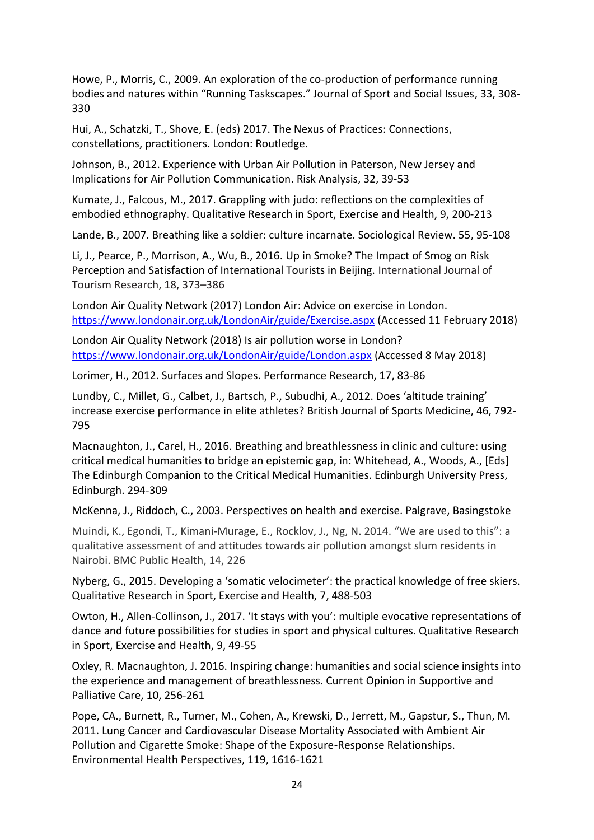Howe, P., Morris, C., 2009. An exploration of the co-production of performance running bodies and natures within "Running Taskscapes." Journal of Sport and Social Issues, 33, 308- 330

Hui, A., Schatzki, T., Shove, E. (eds) 2017. The Nexus of Practices: Connections, constellations, practitioners. London: Routledge.

Johnson, B., 2012. Experience with Urban Air Pollution in Paterson, New Jersey and Implications for Air Pollution Communication. Risk Analysis, 32, 39-53

Kumate, J., Falcous, M., 2017. Grappling with judo: reflections on the complexities of embodied ethnography. Qualitative Research in Sport, Exercise and Health, 9, 200-213

Lande, B., 2007. Breathing like a soldier: culture incarnate. Sociological Review. 55, 95-108

Li, J., Pearce, P., Morrison, A., Wu, B., 2016. Up in Smoke? The Impact of Smog on Risk Perception and Satisfaction of International Tourists in Beijing. International Journal of Tourism Research, 18, 373–386

London Air Quality Network (2017) London Air: Advice on exercise in London. <https://www.londonair.org.uk/LondonAir/guide/Exercise.aspx> (Accessed 11 February 2018)

London Air Quality Network (2018) Is air pollution worse in London? <https://www.londonair.org.uk/LondonAir/guide/London.aspx> (Accessed 8 May 2018)

Lorimer, H., 2012. Surfaces and Slopes. Performance Research, 17, 83-86

Lundby, C., Millet, G., Calbet, J., Bartsch, P., Subudhi, A., 2012. Does 'altitude training' increase exercise performance in elite athletes? British Journal of Sports Medicine, 46, 792- 795

Macnaughton, J., Carel, H., 2016. Breathing and breathlessness in clinic and culture: using critical medical humanities to bridge an epistemic gap, in: Whitehead, A., Woods, A., [Eds] The Edinburgh Companion to the Critical Medical Humanities. Edinburgh University Press, Edinburgh. 294-309

McKenna, J., Riddoch, C., 2003. Perspectives on health and exercise. Palgrave, Basingstoke

Muindi, K., Egondi, T., Kimani-Murage, E., Rocklov, J., Ng, N. 2014. "We are used to this": a qualitative assessment of and attitudes towards air pollution amongst slum residents in Nairobi. BMC Public Health, 14, 226

Nyberg, G., 2015. Developing a 'somatic velocimeter': the practical knowledge of free skiers. Qualitative Research in Sport, Exercise and Health, 7, 488-503

Owton, H., Allen-Collinson, J., 2017. 'It stays with you': multiple evocative representations of dance and future possibilities for studies in sport and physical cultures. Qualitative Research in Sport, Exercise and Health, 9, 49-55

Oxley, R. Macnaughton, J. 2016. Inspiring change: humanities and social science insights into the experience and management of breathlessness. Current Opinion in Supportive and Palliative Care, 10, 256-261

Pope, CA., Burnett, R., Turner, M., Cohen, A., Krewski, D., Jerrett, M., Gapstur, S., Thun, M. 2011. Lung Cancer and Cardiovascular Disease Mortality Associated with Ambient Air Pollution and Cigarette Smoke: Shape of the Exposure-Response Relationships. Environmental Health Perspectives, 119, 1616-1621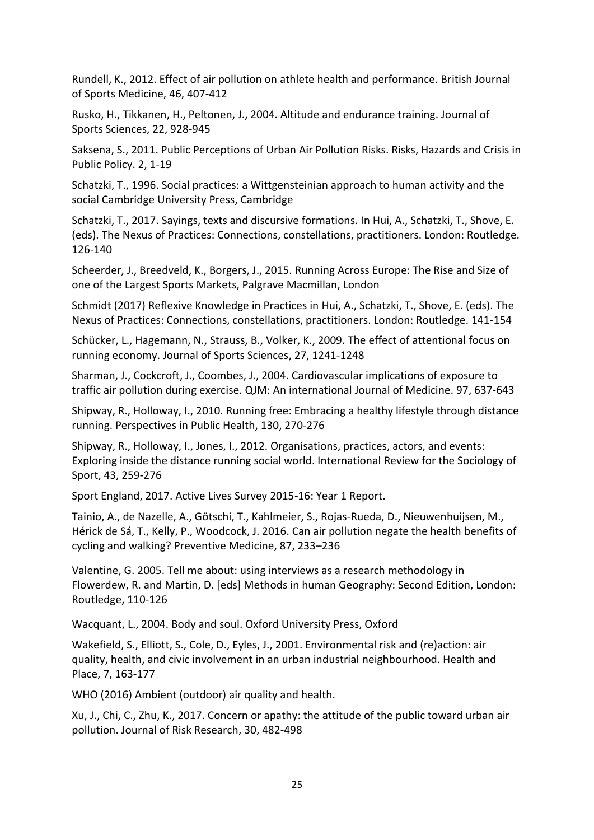Rundell, K., 2012. Effect of air pollution on athlete health and performance. British Journal of Sports Medicine, 46, 407-412

Rusko, H., Tikkanen, H., Peltonen, J., 2004. Altitude and endurance training. Journal of Sports Sciences, 22, 928-945

Saksena, S., 2011. Public Perceptions of Urban Air Pollution Risks. Risks, Hazards and Crisis in Public Policy. 2, 1-19

Schatzki, T., 1996. Social practices: a Wittgensteinian approach to human activity and the social Cambridge University Press, Cambridge

Schatzki, T., 2017. Sayings, texts and discursive formations. In Hui, A., Schatzki, T., Shove, E. (eds). The Nexus of Practices: Connections, constellations, practitioners. London: Routledge. 126-140

Scheerder, J., Breedveld, K., Borgers, J., 2015. Running Across Europe: The Rise and Size of one of the Largest Sports Markets, Palgrave Macmillan, London

Schmidt (2017) Reflexive Knowledge in Practices in Hui, A., Schatzki, T., Shove, E. (eds). The Nexus of Practices: Connections, constellations, practitioners. London: Routledge. 141-154

Schücker, L., Hagemann, N., Strauss, B., Volker, K., 2009. The effect of attentional focus on running economy. Journal of Sports Sciences, 27, 1241-1248

Sharman, J., Cockcroft, J., Coombes, J., 2004. Cardiovascular implications of exposure to traffic air pollution during exercise. QJM: An international Journal of Medicine. 97, 637-643

Shipway, R., Holloway, I., 2010. Running free: Embracing a healthy lifestyle through distance running. Perspectives in Public Health, 130, 270-276

Shipway, R., Holloway, I., Jones, I., 2012. Organisations, practices, actors, and events: Exploring inside the distance running social world. International Review for the Sociology of Sport, 43, 259-276

Sport England, 2017. Active Lives Survey 2015-16: Year 1 Report.

Tainio, A., de Nazelle, A., Götschi, T., Kahlmeier, S., Rojas-Rueda, D., Nieuwenhuijsen, M., Hérick de Sá, T., Kelly, P., Woodcock, J. 2016. Can air pollution negate the health benefits of cycling and walking? Preventive Medicine, 87, 233–236

Valentine, G. 2005. Tell me about: using interviews as a research methodology in Flowerdew, R. and Martin, D. [eds] Methods in human Geography: Second Edition, London: Routledge, 110-126

Wacquant, L., 2004. Body and soul. Oxford University Press, Oxford

Wakefield, S., Elliott, S., Cole, D., Eyles, J., 2001. Environmental risk and (re)action: air quality, health, and civic involvement in an urban industrial neighbourhood. Health and Place, 7, 163-177

WHO (2016) Ambient (outdoor) air quality and health.

Xu, J., Chi, C., Zhu, K., 2017. Concern or apathy: the attitude of the public toward urban air pollution. Journal of Risk Research, 30, 482-498